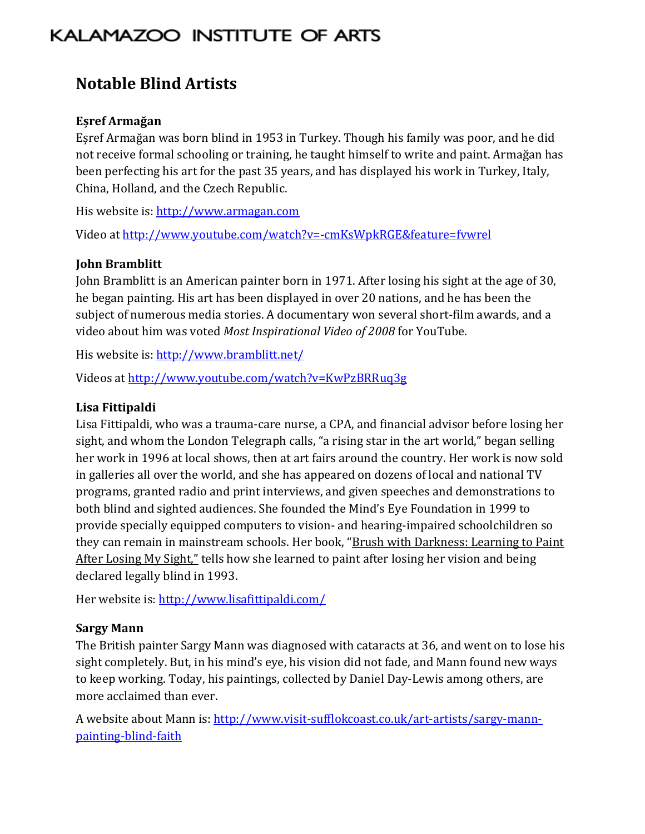# KALAMAZOO INSTITUTE OF ARTS

# **Notable Blind Artists**

#### **Eșref Armağan**

Eșref Armağan was born blind in 1953 in Turkey. Though his family was poor, and he did not receive formal schooling or training, he taught himself to write and paint. Armağan has been perfecting his art for the past 35 years, and has displayed his work in Turkey, Italy, China, Holland, and the Czech Republic.

His website is: http://www.armagan.com

Video at http://www.youtube.com/watch?v=-cmKsWpkRGE&feature=fvwrel

#### **John Bramblitt**

John Bramblitt is an American painter born in 1971. After losing his sight at the age of 30, he began painting. His art has been displayed in over 20 nations, and he has been the subject of numerous media stories. A documentary won several short-film awards, and a video about him was voted *Most Inspirational Video of 2008* for YouTube.

His website is: http://www.bramblitt.net/

Videos at http://www.youtube.com/watch?v=KwPzBRRuq3g

#### **Lisa Fittipaldi**

Lisa Fittipaldi, who was a trauma-care nurse, a CPA, and financial advisor before losing her sight, and whom the London Telegraph calls, "a rising star in the art world," began selling her work in 1996 at local shows, then at art fairs around the country. Her work is now sold in galleries all over the world, and she has appeared on dozens of local and national TV programs, granted radio and print interviews, and given speeches and demonstrations to both blind and sighted audiences. She founded the Mind's Eye Foundation in 1999 to provide specially equipped computers to vision- and hearing-impaired schoolchildren so they can remain in mainstream schools. Her book, "Brush with Darkness: Learning to Paint After Losing My Sight," tells how she learned to paint after losing her vision and being declared legally blind in 1993.

Her website is: http://www.lisafittipaldi.com/

#### **Sargy Mann**

The British painter Sargy Mann was diagnosed with cataracts at 36, and went on to lose his sight completely. But, in his mind's eye, his vision did not fade, and Mann found new ways to keep working. Today, his paintings, collected by Daniel Day-Lewis among others, are more acclaimed than ever.

A website about Mann is: http://www.visit-sufflokcoast.co.uk/art-artists/sargy-mannpainting-blind-faith